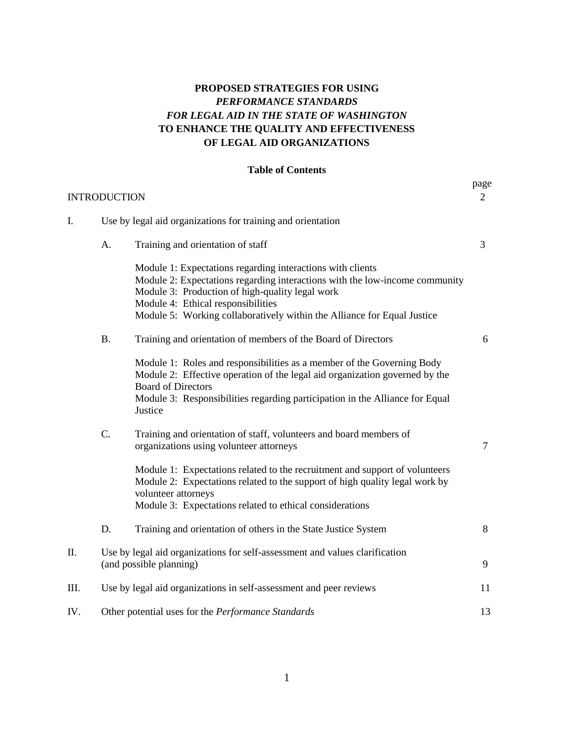#### **PROPOSED STRATEGIES FOR USING**  *PERFORMANCE STANDARDS FOR LEGAL AID IN THE STATE OF WASHINGTON* **TO ENHANCE THE QUALITY AND EFFECTIVENESS OF LEGAL AID ORGANIZATIONS**

#### **Table of Contents**

| <b>INTRODUCTION</b> |                                                                                                        |                                                                                                                                                                                                                                                                                                               | page<br>$\overline{2}$ |
|---------------------|--------------------------------------------------------------------------------------------------------|---------------------------------------------------------------------------------------------------------------------------------------------------------------------------------------------------------------------------------------------------------------------------------------------------------------|------------------------|
| I.                  | Use by legal aid organizations for training and orientation                                            |                                                                                                                                                                                                                                                                                                               |                        |
|                     | A.                                                                                                     | Training and orientation of staff                                                                                                                                                                                                                                                                             | 3                      |
|                     |                                                                                                        | Module 1: Expectations regarding interactions with clients<br>Module 2: Expectations regarding interactions with the low-income community<br>Module 3: Production of high-quality legal work<br>Module 4: Ethical responsibilities<br>Module 5: Working collaboratively within the Alliance for Equal Justice |                        |
|                     | <b>B.</b>                                                                                              | Training and orientation of members of the Board of Directors                                                                                                                                                                                                                                                 | 6                      |
|                     |                                                                                                        | Module 1: Roles and responsibilities as a member of the Governing Body<br>Module 2: Effective operation of the legal aid organization governed by the<br><b>Board of Directors</b><br>Module 3: Responsibilities regarding participation in the Alliance for Equal<br>Justice                                 |                        |
|                     | $\mathcal{C}$ .                                                                                        | Training and orientation of staff, volunteers and board members of<br>organizations using volunteer attorneys                                                                                                                                                                                                 | $\tau$                 |
|                     |                                                                                                        | Module 1: Expectations related to the recruitment and support of volunteers<br>Module 2: Expectations related to the support of high quality legal work by<br>volunteer attorneys<br>Module 3: Expectations related to ethical considerations                                                                 |                        |
|                     | D.                                                                                                     | Training and orientation of others in the State Justice System                                                                                                                                                                                                                                                | 8                      |
| Π.                  | Use by legal aid organizations for self-assessment and values clarification<br>(and possible planning) |                                                                                                                                                                                                                                                                                                               | 9                      |
| Ш.                  | Use by legal aid organizations in self-assessment and peer reviews                                     |                                                                                                                                                                                                                                                                                                               | 11                     |
| IV.                 | Other potential uses for the Performance Standards                                                     |                                                                                                                                                                                                                                                                                                               | 13                     |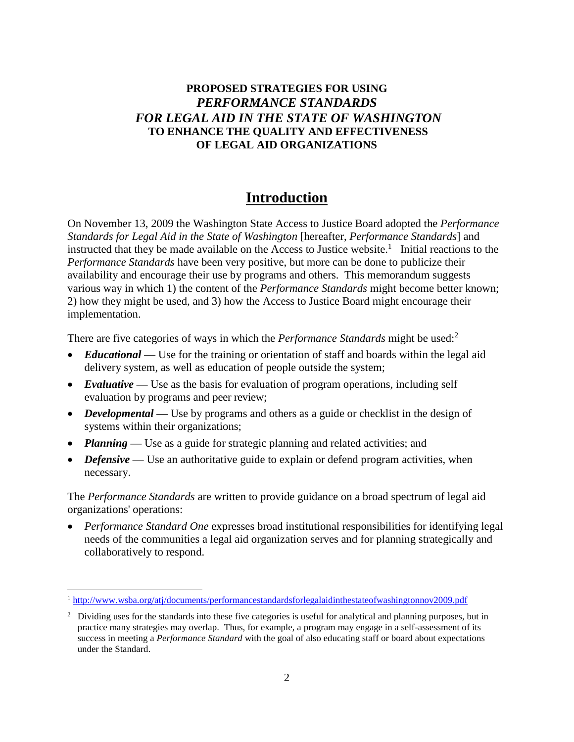#### **PROPOSED STRATEGIES FOR USING**  *PERFORMANCE STANDARDS FOR LEGAL AID IN THE STATE OF WASHINGTON*  **TO ENHANCE THE QUALITY AND EFFECTIVENESS OF LEGAL AID ORGANIZATIONS**

### **Introduction**

On November 13, 2009 the Washington State Access to Justice Board adopted the *Performance Standards for Legal Aid in the State of Washington* [hereafter, *Performance Standards*] and instructed that they be made available on the Access to Justice website.<sup>1</sup> Initial reactions to the *Performance Standards* have been very positive, but more can be done to publicize their availability and encourage their use by programs and others. This memorandum suggests various way in which 1) the content of the *Performance Standards* might become better known; 2) how they might be used, and 3) how the Access to Justice Board might encourage their implementation.

There are five categories of ways in which the *Performance Standards* might be used:<sup>2</sup>

- *Educational* Use for the training or orientation of staff and boards within the legal aid delivery system, as well as education of people outside the system;
- *Evaluative* Use as the basis for evaluation of program operations, including self evaluation by programs and peer review;
- *Developmental* Use by programs and others as a guide or checklist in the design of systems within their organizations;
- *Planning* Use as a guide for strategic planning and related activities; and
- Defensive Use an authoritative guide to explain or defend program activities, when necessary.

The *Performance Standards* are written to provide guidance on a broad spectrum of legal aid organizations' operations:

 *Performance Standard One* expresses broad institutional responsibilities for identifying legal needs of the communities a legal aid organization serves and for planning strategically and collaboratively to respond.

l

<sup>1</sup> <http://www.wsba.org/atj/documents/performancestandardsforlegalaidinthestateofwashingtonnov2009.pdf>

<sup>&</sup>lt;sup>2</sup> Dividing uses for the standards into these five categories is useful for analytical and planning purposes, but in practice many strategies may overlap. Thus, for example, a program may engage in a self-assessment of its success in meeting a *Performance Standard* with the goal of also educating staff or board about expectations under the Standard.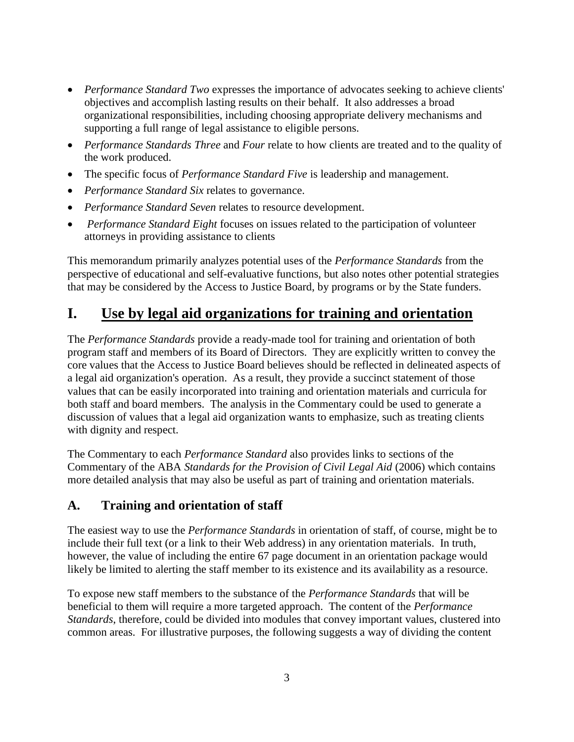- *Performance Standard Two* expresses the importance of advocates seeking to achieve clients' objectives and accomplish lasting results on their behalf. It also addresses a broad organizational responsibilities, including choosing appropriate delivery mechanisms and supporting a full range of legal assistance to eligible persons.
- *Performance Standards Three* and *Four* relate to how clients are treated and to the quality of the work produced.
- The specific focus of *Performance Standard Five* is leadership and management.
- *Performance Standard Six* relates to governance.
- *Performance Standard Seven* relates to resource development.
- *Performance Standard Eight* focuses on issues related to the participation of volunteer attorneys in providing assistance to clients

This memorandum primarily analyzes potential uses of the *Performance Standards* from the perspective of educational and self-evaluative functions, but also notes other potential strategies that may be considered by the Access to Justice Board, by programs or by the State funders.

### **I. Use by legal aid organizations for training and orientation**

The *Performance Standards* provide a ready-made tool for training and orientation of both program staff and members of its Board of Directors. They are explicitly written to convey the core values that the Access to Justice Board believes should be reflected in delineated aspects of a legal aid organization's operation. As a result, they provide a succinct statement of those values that can be easily incorporated into training and orientation materials and curricula for both staff and board members. The analysis in the Commentary could be used to generate a discussion of values that a legal aid organization wants to emphasize, such as treating clients with dignity and respect.

The Commentary to each *Performance Standard* also provides links to sections of the Commentary of the ABA *Standards for the Provision of Civil Legal Aid* (2006) which contains more detailed analysis that may also be useful as part of training and orientation materials.

### **A. Training and orientation of staff**

The easiest way to use the *Performance Standards* in orientation of staff, of course, might be to include their full text (or a link to their Web address) in any orientation materials. In truth, however, the value of including the entire 67 page document in an orientation package would likely be limited to alerting the staff member to its existence and its availability as a resource.

To expose new staff members to the substance of the *Performance Standards* that will be beneficial to them will require a more targeted approach. The content of the *Performance Standards*, therefore, could be divided into modules that convey important values, clustered into common areas. For illustrative purposes, the following suggests a way of dividing the content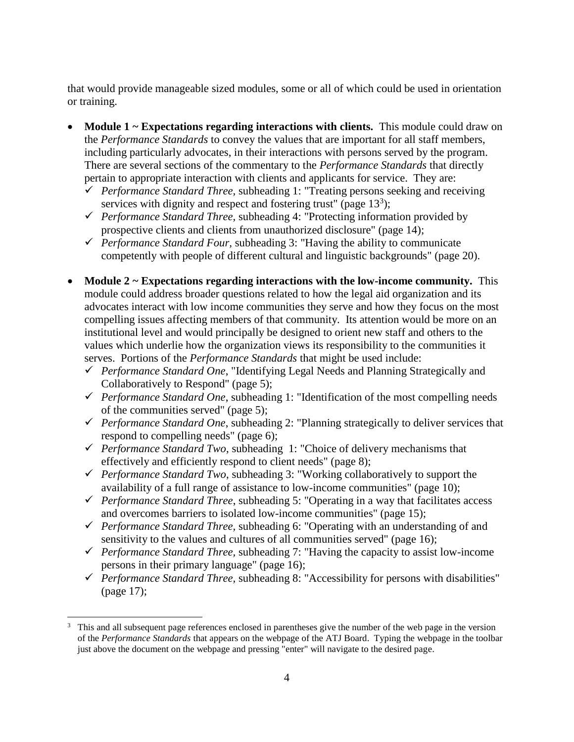that would provide manageable sized modules, some or all of which could be used in orientation or training.

- **Module 1 ~ Expectations regarding interactions with clients.** This module could draw on the *Performance Standards* to convey the values that are important for all staff members, including particularly advocates, in their interactions with persons served by the program. There are several sections of the commentary to the *Performance Standards* that directly pertain to appropriate interaction with clients and applicants for service. They are:
	- *Performance Standard Three,* subheading 1: "Treating persons seeking and receiving services with dignity and respect and fostering trust" (page  $13<sup>3</sup>$ );
	- *Performance Standard Three,* subheading 4: "Protecting information provided by prospective clients and clients from unauthorized disclosure" (page 14);
	- *Performance Standard Four,* subheading 3: "Having the ability to communicate competently with people of different cultural and linguistic backgrounds" (page 20).
- **Module 2 ~ Expectations regarding interactions with the low-income community.** This module could address broader questions related to how the legal aid organization and its advocates interact with low income communities they serve and how they focus on the most compelling issues affecting members of that community. Its attention would be more on an institutional level and would principally be designed to orient new staff and others to the values which underlie how the organization views its responsibility to the communities it serves. Portions of the *Performance Standards* that might be used include:
	- *Performance Standard One*, "Identifying Legal Needs and Planning Strategically and Collaboratively to Respond" (page 5);
	- *Performance Standard One*, subheading 1: "Identification of the most compelling needs of the communities served" (page 5);
	- *Performance Standard One*, subheading 2: "Planning strategically to deliver services that respond to compelling needs" (page 6);
	- *Performance Standard Two*, subheading 1: "Choice of delivery mechanisms that effectively and efficiently respond to client needs" (page 8);
	- *Performance Standard Two*, subheading 3: "Working collaboratively to support the availability of a full range of assistance to low-income communities" (page 10);
	- *Performance Standard Three*, subheading 5: "Operating in a way that facilitates access and overcomes barriers to isolated low-income communities" (page 15);
	- *Performance Standard Three,* subheading 6: "Operating with an understanding of and sensitivity to the values and cultures of all communities served" (page 16);
	- *Performance Standard Three,* subheading 7: "Having the capacity to assist low-income persons in their primary language" (page 16);
	- *Performance Standard Three,* subheading 8: "Accessibility for persons with disabilities" (page 17);

 $\overline{\phantom{a}}$ <sup>3</sup> This and all subsequent page references enclosed in parentheses give the number of the web page in the version of the *Performance Standards* that appears on the webpage of the ATJ Board. Typing the webpage in the toolbar just above the document on the webpage and pressing "enter" will navigate to the desired page.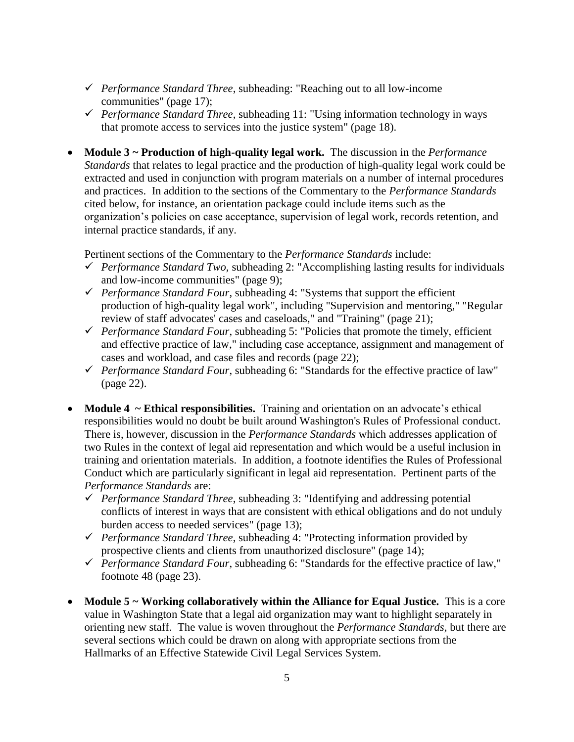- *Performance Standard Three*, subheading: "Reaching out to all low-income communities" (page 17);
- *Performance Standard Three*, subheading 11: "Using information technology in ways that promote access to services into the justice system" (page 18).
- **Module 3 ~ Production of high-quality legal work.** The discussion in the *Performance Standards* that relates to legal practice and the production of high-quality legal work could be extracted and used in conjunction with program materials on a number of internal procedures and practices. In addition to the sections of the Commentary to the *Performance Standards*  cited below, for instance, an orientation package could include items such as the organization's policies on case acceptance, supervision of legal work, records retention, and internal practice standards, if any.

Pertinent sections of the Commentary to the *Performance Standards* include:

- *Performance Standard Two,* subheading 2: "Accomplishing lasting results for individuals and low-income communities" (page 9);
- *Performance Standard Four*, subheading 4: "Systems that support the efficient production of high-quality legal work", including "Supervision and mentoring," "Regular review of staff advocates' cases and caseloads," and "Training" (page 21);
- *Performance Standard Four*, subheading 5: "Policies that promote the timely, efficient and effective practice of law," including case acceptance, assignment and management of cases and workload, and case files and records (page 22);
- *Performance Standard Four*, subheading 6: "Standards for the effective practice of law" (page 22).
- **Module 4** ~ **Ethical responsibilities.** Training and orientation on an advocate's ethical responsibilities would no doubt be built around Washington's Rules of Professional conduct. There is, however, discussion in the *Performance Standards* which addresses application of two Rules in the context of legal aid representation and which would be a useful inclusion in training and orientation materials. In addition, a footnote identifies the Rules of Professional Conduct which are particularly significant in legal aid representation. Pertinent parts of the *Performance Standards* are:
	- *Performance Standard Three*, subheading 3: "Identifying and addressing potential conflicts of interest in ways that are consistent with ethical obligations and do not unduly burden access to needed services" (page 13);
	- *Performance Standard Three*, subheading 4: "Protecting information provided by prospective clients and clients from unauthorized disclosure" (page 14);
	- *Performance Standard Four*, subheading 6: "Standards for the effective practice of law," footnote 48 (page 23).
- **Module 5 ~ Working collaboratively within the Alliance for Equal Justice.** This is a core value in Washington State that a legal aid organization may want to highlight separately in orienting new staff. The value is woven throughout the *Performance Standards*, but there are several sections which could be drawn on along with appropriate sections from the Hallmarks of an Effective Statewide Civil Legal Services System.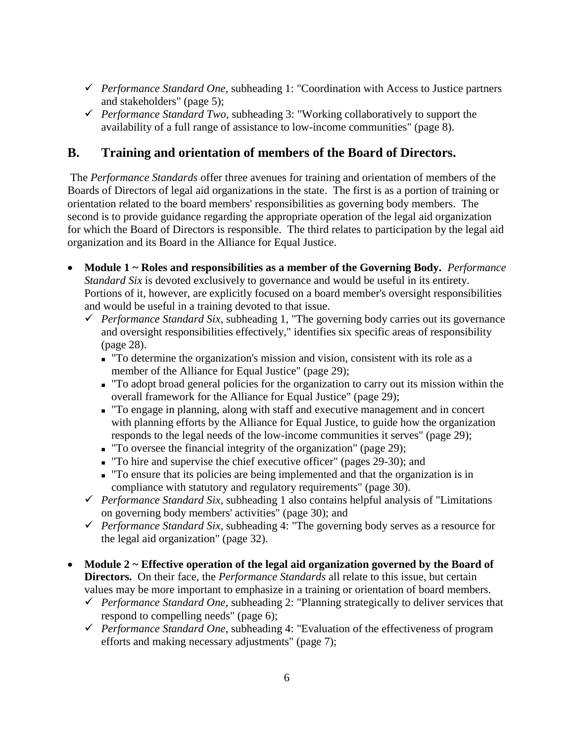- *Performance Standard One*, subheading 1: "Coordination with Access to Justice partners and stakeholders" (page 5);
- *Performance Standard Two*, subheading 3: "Working collaboratively to support the availability of a full range of assistance to low-income communities" (page 8).

### **B. Training and orientation of members of the Board of Directors.**

The *Performance Standards* offer three avenues for training and orientation of members of the Boards of Directors of legal aid organizations in the state. The first is as a portion of training or orientation related to the board members' responsibilities as governing body members. The second is to provide guidance regarding the appropriate operation of the legal aid organization for which the Board of Directors is responsible. The third relates to participation by the legal aid organization and its Board in the Alliance for Equal Justice.

- **Module 1 ~ Roles and responsibilities as a member of the Governing Body.** *Performance Standard Six* is devoted exclusively to governance and would be useful in its entirety. Portions of it, however, are explicitly focused on a board member's oversight responsibilities and would be useful in a training devoted to that issue.
	- *Performance Standard Six*, subheading 1, "The governing body carries out its governance and oversight responsibilities effectively," identifies six specific areas of responsibility (page 28).
		- "To determine the organization's mission and vision, consistent with its role as a member of the Alliance for Equal Justice" (page 29);
		- "To adopt broad general policies for the organization to carry out its mission within the overall framework for the Alliance for Equal Justice" (page 29);
		- "To engage in planning, along with staff and executive management and in concert with planning efforts by the Alliance for Equal Justice, to guide how the organization responds to the legal needs of the low-income communities it serves" (page 29);
		- "To oversee the financial integrity of the organization" (page 29);
		- "To hire and supervise the chief executive officer" (pages 29-30); and
		- "To ensure that its policies are being implemented and that the organization is in compliance with statutory and regulatory requirements" (page 30).
	- *Performance Standard Six*, subheading 1 also contains helpful analysis of "Limitations" on governing body members' activities" (page 30); and
	- *Performance Standard Six*, subheading 4: "The governing body serves as a resource for the legal aid organization" (page 32).
- **Module 2 ~ Effective operation of the legal aid organization governed by the Board of Directors.** On their face, the *Performance Standards* all relate to this issue, but certain values may be more important to emphasize in a training or orientation of board members.
	- *Performance Standard One*, subheading 2: "Planning strategically to deliver services that respond to compelling needs" (page 6);
	- *Performance Standard One*, subheading 4: "Evaluation of the effectiveness of program efforts and making necessary adjustments" (page 7);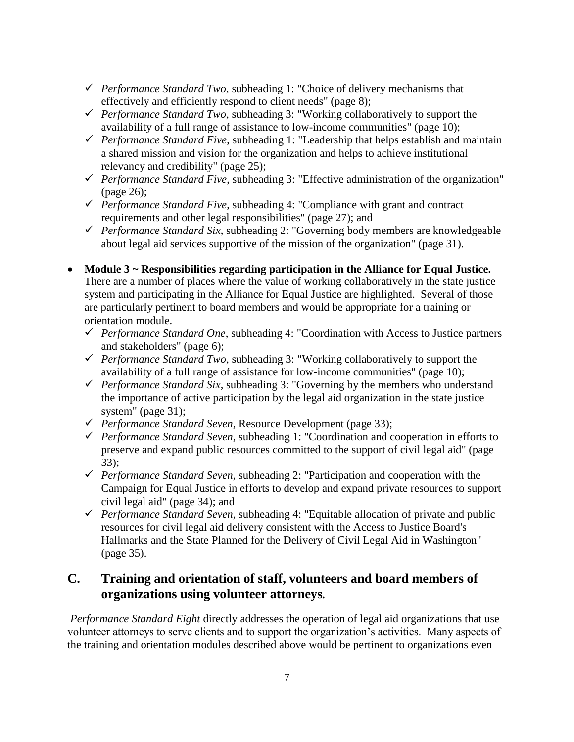- *Performance Standard Two*, subheading 1: "Choice of delivery mechanisms that effectively and efficiently respond to client needs" (page 8);
- *Performance Standard Two*, subheading 3: "Working collaboratively to support the availability of a full range of assistance to low-income communities" (page 10);
- *Performance Standard Five*, subheading 1: "Leadership that helps establish and maintain a shared mission and vision for the organization and helps to achieve institutional relevancy and credibility" (page 25);
- *Performance Standard Five*, subheading 3: "Effective administration of the organization" (page 26);
- *Performance Standard Five*, subheading 4: "Compliance with grant and contract requirements and other legal responsibilities" (page 27); and
- *Performance Standard Six*, subheading 2: "Governing body members are knowledgeable about legal aid services supportive of the mission of the organization" (page 31).
- **Module 3 ~ Responsibilities regarding participation in the Alliance for Equal Justice.** There are a number of places where the value of working collaboratively in the state justice system and participating in the Alliance for Equal Justice are highlighted. Several of those are particularly pertinent to board members and would be appropriate for a training or orientation module.
	- *Performance Standard One*, subheading 4: "Coordination with Access to Justice partners and stakeholders" (page 6);
	- *Performance Standard Two*, subheading 3: "Working collaboratively to support the availability of a full range of assistance for low-income communities" (page 10);
	- *Performance Standard Six*, subheading 3: "Governing by the members who understand the importance of active participation by the legal aid organization in the state justice system" (page 31);
	- *Performance Standard Seven*, Resource Development (page 33);
	- *Performance Standard Seven*, subheading 1: "Coordination and cooperation in efforts to preserve and expand public resources committed to the support of civil legal aid" (page 33);
	- *Performance Standard Seven*, subheading 2: "Participation and cooperation with the Campaign for Equal Justice in efforts to develop and expand private resources to support civil legal aid" (page 34); and
	- *Performance Standard Seven*, subheading 4: "Equitable allocation of private and public resources for civil legal aid delivery consistent with the Access to Justice Board's Hallmarks and the State Planned for the Delivery of Civil Legal Aid in Washington" (page 35).

### **C. Training and orientation of staff, volunteers and board members of organizations using volunteer attorneys***.*

*Performance Standard Eight* directly addresses the operation of legal aid organizations that use volunteer attorneys to serve clients and to support the organization's activities. Many aspects of the training and orientation modules described above would be pertinent to organizations even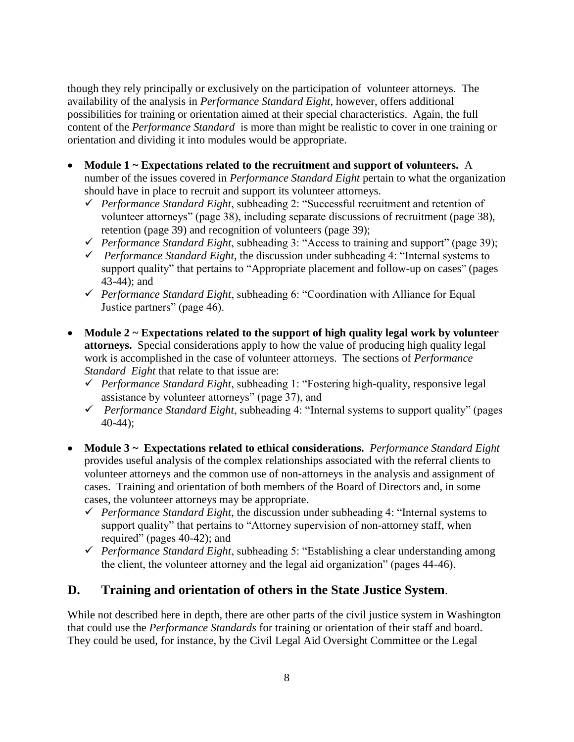though they rely principally or exclusively on the participation of volunteer attorneys. The availability of the analysis in *Performance Standard Eight*, however, offers additional possibilities for training or orientation aimed at their special characteristics. Again, the full content of the *Performance Standard* is more than might be realistic to cover in one training or orientation and dividing it into modules would be appropriate.

- **Module 1 ~ Expectations related to the recruitment and support of volunteers.** A number of the issues covered in *Performance Standard Eight* pertain to what the organization should have in place to recruit and support its volunteer attorneys.
	- *Performance Standard Eight*, subheading 2: "Successful recruitment and retention of volunteer attorneys" (page 38), including separate discussions of recruitment (page 38), retention (page 39) and recognition of volunteers (page 39);
	- *Performance Standard Eight*, subheading 3: "Access to training and support" (page 39);
	- *Performance Standard Eight*, the discussion under subheading 4: "Internal systems to support quality" that pertains to "Appropriate placement and follow-up on cases" (pages 43-44); and
	- *Performance Standard Eight*, subheading 6: "Coordination with Alliance for Equal Justice partners" (page 46).
- **Module 2 ~ Expectations related to the support of high quality legal work by volunteer attorneys.** Special considerations apply to how the value of producing high quality legal work is accomplished in the case of volunteer attorneys. The sections of *Performance Standard Eight* that relate to that issue are:
	- *Performance Standard Eight*, subheading 1: "Fostering high-quality, responsive legal assistance by volunteer attorneys" (page 37), and
	- *Performance Standard Eight*, subheading 4: "Internal systems to support quality" (pages 40-44);
- **Module 3 ~ Expectations related to ethical considerations.** *Performance Standard Eight*  provides useful analysis of the complex relationships associated with the referral clients to volunteer attorneys and the common use of non-attorneys in the analysis and assignment of cases. Training and orientation of both members of the Board of Directors and, in some cases, the volunteer attorneys may be appropriate.
	- *Performance Standard Eight*, the discussion under subheading 4: "Internal systems to support quality" that pertains to "Attorney supervision of non-attorney staff, when required" (pages 40-42); and
	- *Performance Standard Eight*, subheading 5: "Establishing a clear understanding among the client, the volunteer attorney and the legal aid organization" (pages 44-46).

### **D. Training and orientation of others in the State Justice System**.

While not described here in depth, there are other parts of the civil justice system in Washington that could use the *Performance Standards* for training or orientation of their staff and board. They could be used, for instance, by the Civil Legal Aid Oversight Committee or the Legal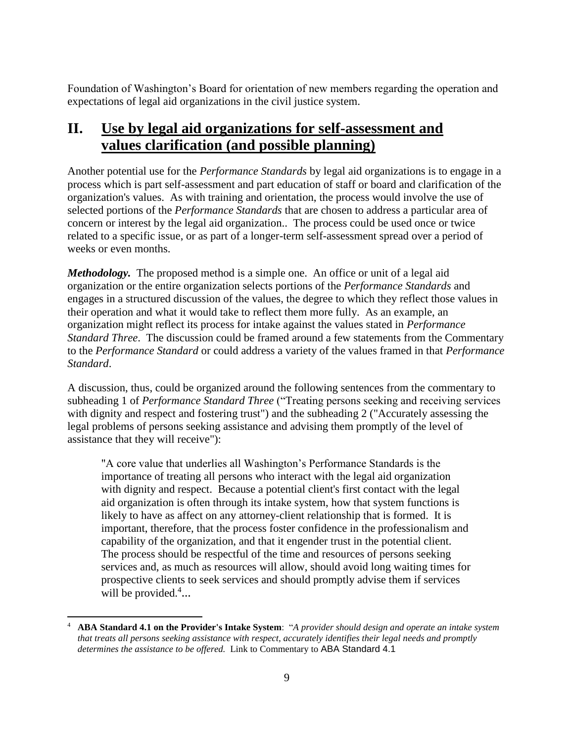Foundation of Washington's Board for orientation of new members regarding the operation and expectations of legal aid organizations in the civil justice system.

# **II. Use by legal aid organizations for self-assessment and values clarification (and possible planning)**

Another potential use for the *Performance Standards* by legal aid organizations is to engage in a process which is part self-assessment and part education of staff or board and clarification of the organization's values. As with training and orientation, the process would involve the use of selected portions of the *Performance Standards* that are chosen to address a particular area of concern or interest by the legal aid organization.. The process could be used once or twice related to a specific issue, or as part of a longer-term self-assessment spread over a period of weeks or even months.

*Methodology.* The proposed method is a simple one. An office or unit of a legal aid organization or the entire organization selects portions of the *Performance Standards* and engages in a structured discussion of the values, the degree to which they reflect those values in their operation and what it would take to reflect them more fully. As an example, an organization might reflect its process for intake against the values stated in *Performance Standard Three*. The discussion could be framed around a few statements from the Commentary to the *Performance Standard* or could address a variety of the values framed in that *Performance Standard*.

A discussion, thus, could be organized around the following sentences from the commentary to subheading 1 of *Performance Standard Three* ("Treating persons seeking and receiving services with dignity and respect and fostering trust") and the subheading 2 ("Accurately assessing the legal problems of persons seeking assistance and advising them promptly of the level of assistance that they will receive"):

"A core value that underlies all Washington's Performance Standards is the importance of treating all persons who interact with the legal aid organization with dignity and respect. Because a potential client's first contact with the legal aid organization is often through its intake system, how that system functions is likely to have as affect on any attorney-client relationship that is formed. It is important, therefore, that the process foster confidence in the professionalism and capability of the organization, and that it engender trust in the potential client. The process should be respectful of the time and resources of persons seeking services and, as much as resources will allow, should avoid long waiting times for prospective clients to seek services and should promptly advise them if services will be provided.<sup>4</sup>...

 $\overline{\phantom{a}}$ 

<sup>4</sup> **ABA Standard 4.1 on the Provider's Intake System**: "*A provider should design and operate an intake system that treats all persons seeking assistance with respect, accurately identifies their legal needs and promptly determines the assistance to be offered.* Link to Commentary to ABA Standard 4.1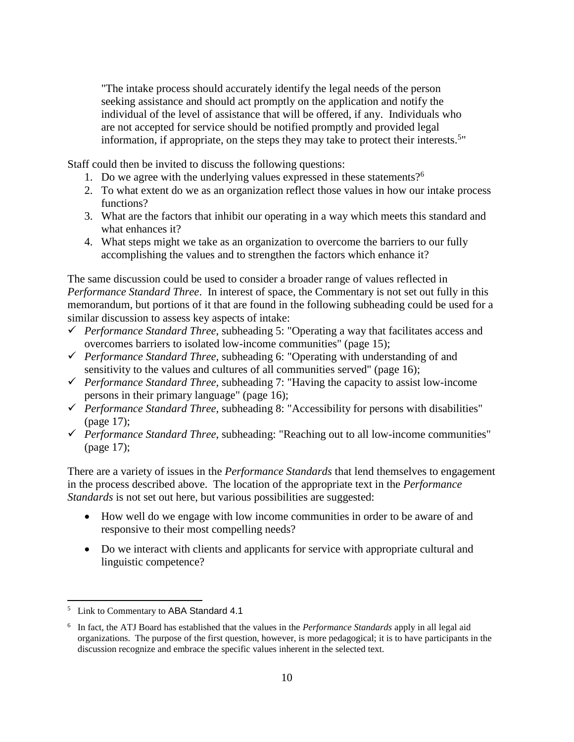"The intake process should accurately identify the legal needs of the person seeking assistance and should act promptly on the application and notify the individual of the level of assistance that will be offered, if any. Individuals who are not accepted for service should be notified promptly and provided legal information, if appropriate, on the steps they may take to protect their interests.<sup>5</sup>

Staff could then be invited to discuss the following questions:

- 1. Do we agree with the underlying values expressed in these statements?<sup>6</sup>
- 2. To what extent do we as an organization reflect those values in how our intake process functions?
- 3. What are the factors that inhibit our operating in a way which meets this standard and what enhances it?
- 4. What steps might we take as an organization to overcome the barriers to our fully accomplishing the values and to strengthen the factors which enhance it?

The same discussion could be used to consider a broader range of values reflected in *Performance Standard Three*. In interest of space, the Commentary is not set out fully in this memorandum, but portions of it that are found in the following subheading could be used for a similar discussion to assess key aspects of intake:

- *Performance Standard Three*, subheading 5: "Operating a way that facilitates access and overcomes barriers to isolated low-income communities" (page 15);
- *Performance Standard Three,* subheading 6: "Operating with understanding of and sensitivity to the values and cultures of all communities served" (page 16);
- *Performance Standard Three,* subheading 7: "Having the capacity to assist low-income persons in their primary language" (page 16);
- *Performance Standard Three,* subheading 8: "Accessibility for persons with disabilities" (page 17);
- *Performance Standard Three*, subheading: "Reaching out to all low-income communities" (page 17);

There are a variety of issues in the *Performance Standards* that lend themselves to engagement in the process described above. The location of the appropriate text in the *Performance Standards* is not set out here, but various possibilities are suggested:

- How well do we engage with low income communities in order to be aware of and responsive to their most compelling needs?
- Do we interact with clients and applicants for service with appropriate cultural and linguistic competence?

 $\overline{\phantom{a}}$ <sup>5</sup> Link to Commentary to ABA Standard 4.1

<sup>6</sup> In fact, the ATJ Board has established that the values in the *Performance Standards* apply in all legal aid organizations. The purpose of the first question, however, is more pedagogical; it is to have participants in the discussion recognize and embrace the specific values inherent in the selected text.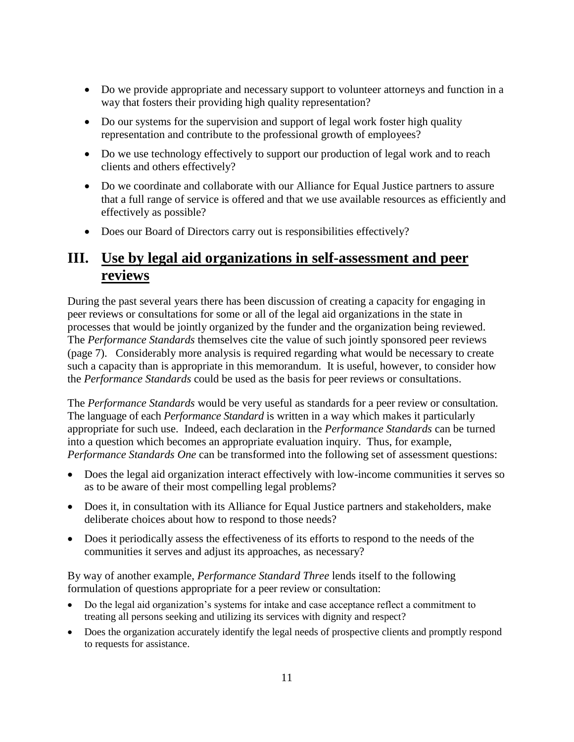- Do we provide appropriate and necessary support to volunteer attorneys and function in a way that fosters their providing high quality representation?
- Do our systems for the supervision and support of legal work foster high quality representation and contribute to the professional growth of employees?
- Do we use technology effectively to support our production of legal work and to reach clients and others effectively?
- Do we coordinate and collaborate with our Alliance for Equal Justice partners to assure that a full range of service is offered and that we use available resources as efficiently and effectively as possible?
- Does our Board of Directors carry out is responsibilities effectively?

## **III. Use by legal aid organizations in self-assessment and peer reviews**

During the past several years there has been discussion of creating a capacity for engaging in peer reviews or consultations for some or all of the legal aid organizations in the state in processes that would be jointly organized by the funder and the organization being reviewed. The *Performance Standards* themselves cite the value of such jointly sponsored peer reviews (page 7). Considerably more analysis is required regarding what would be necessary to create such a capacity than is appropriate in this memorandum. It is useful, however, to consider how the *Performance Standards* could be used as the basis for peer reviews or consultations.

The *Performance Standards* would be very useful as standards for a peer review or consultation. The language of each *Performance Standard* is written in a way which makes it particularly appropriate for such use. Indeed, each declaration in the *Performance Standards* can be turned into a question which becomes an appropriate evaluation inquiry. Thus, for example, *Performance Standards One* can be transformed into the following set of assessment questions:

- Does the legal aid organization interact effectively with low-income communities it serves so as to be aware of their most compelling legal problems?
- Does it, in consultation with its Alliance for Equal Justice partners and stakeholders, make deliberate choices about how to respond to those needs?
- Does it periodically assess the effectiveness of its efforts to respond to the needs of the communities it serves and adjust its approaches, as necessary?

By way of another example, *Performance Standard Three* lends itself to the following formulation of questions appropriate for a peer review or consultation:

- Do the legal aid organization's systems for intake and case acceptance reflect a commitment to treating all persons seeking and utilizing its services with dignity and respect?
- Does the organization accurately identify the legal needs of prospective clients and promptly respond to requests for assistance.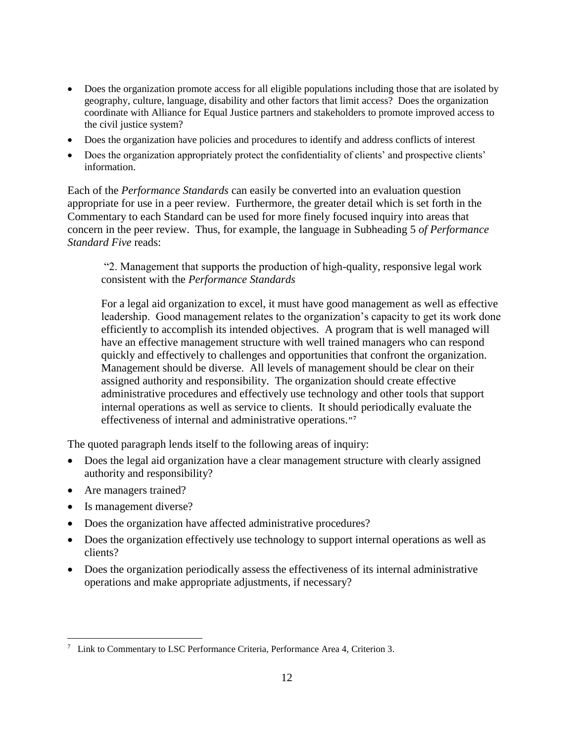- Does the organization promote access for all eligible populations including those that are isolated by geography, culture, language, disability and other factors that limit access? Does the organization coordinate with Alliance for Equal Justice partners and stakeholders to promote improved access to the civil justice system?
- Does the organization have policies and procedures to identify and address conflicts of interest
- Does the organization appropriately protect the confidentiality of clients' and prospective clients' information.

Each of the *Performance Standards* can easily be converted into an evaluation question appropriate for use in a peer review. Furthermore, the greater detail which is set forth in the Commentary to each Standard can be used for more finely focused inquiry into areas that concern in the peer review. Thus, for example, the language in Subheading 5 *of Performance Standard Five* reads:

"2. Management that supports the production of high-quality, responsive legal work consistent with the *Performance Standards*

For a legal aid organization to excel, it must have good management as well as effective leadership. Good management relates to the organization's capacity to get its work done efficiently to accomplish its intended objectives. A program that is well managed will have an effective management structure with well trained managers who can respond quickly and effectively to challenges and opportunities that confront the organization. Management should be diverse. All levels of management should be clear on their assigned authority and responsibility. The organization should create effective administrative procedures and effectively use technology and other tools that support internal operations as well as service to clients. It should periodically evaluate the effectiveness of internal and administrative operations.**" 7**

The quoted paragraph lends itself to the following areas of inquiry:

- Does the legal aid organization have a clear management structure with clearly assigned authority and responsibility?
- Are managers trained?
- Is management diverse?

 $\overline{\phantom{a}}$ 

- Does the organization have affected administrative procedures?
- Does the organization effectively use technology to support internal operations as well as clients?
- Does the organization periodically assess the effectiveness of its internal administrative operations and make appropriate adjustments, if necessary?

<sup>7</sup> Link to Commentary to LSC Performance Criteria, Performance Area 4, Criterion 3.